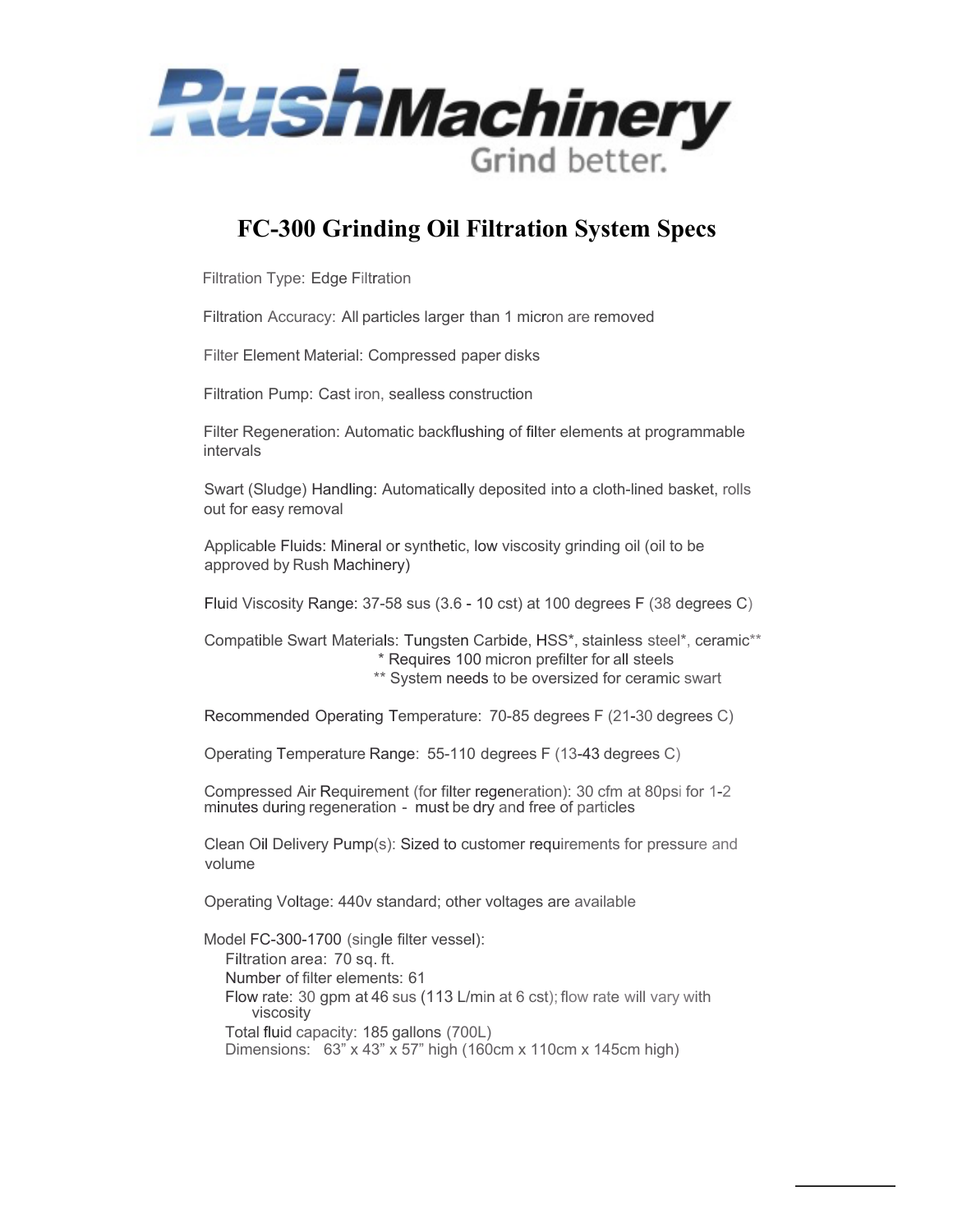

## **FC-300 Grinding Oil Filtration System Specs**

Filtration Type: Edge Filtration

Filtration Accuracy: All particles larger than 1 micron are removed

Filter Element Material: Compressed paper disks

Filtration Pump: Cast iron, sealless construction

Filter Regeneration: Automatic backflushing of filter elements at programmable intervals

Swart (Sludge) Handling: Automatically deposited into a cloth-lined basket, rolls out for easy removal

Applicable Fluids: Mineral or synthetic, low viscosity grinding oil (oil to be approved by Rush Machinery)

Fluid Viscosity Range: 37-58 sus (3.6 - 10 cst) at 100 degrees F (38 degrees C)

Compatible Swart Materials: Tungsten Carbide, HSS\*, stainless steel\*, ceramic\*\* \* Requires 100 micron prefilter for all steels \*\* System needs to be oversized for ceramic swart

Recommended Operating Temperature: 70-85 degrees F (21-30 degrees C)

Operating Temperature Range: 55-110 degrees F (13-43 degrees C)

Compressed Air Requirement (for filter regeneration): 30 cfm at 80psi for 1-2 minutes during regeneration - must be dry and free of particles

Clean Oil Delivery Pump(s): Sized to customer requirements for pressure and volume

Operating Voltage: 440v standard; other voltages are available

Model FC-300-1700 (single filter vessel): Filtration area: 70 sq. ft. Number of filter elements: 61 Flow rate: 30 gpm at 46 sus (113 L/min at 6 cst); flow rate will vary with viscosity Total fluid capacity: 185 gallons (700L) Dimensions: 63" x 43" x 57" high (160cm x 110cm x 145cm high)